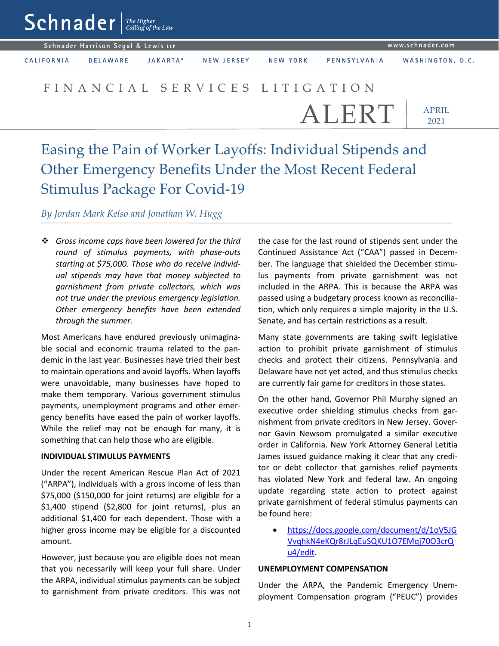$\mathsf{Sch}$ nader  $\vert$ <sup>The Higher</sup>

Schnader Harrison Segal & Lewis LLP

CALIFORNIA

**DELAWARE** JAKARTA\*

NEW JERSEY

NEW YORK PENNSYLVANIA

WASHINGTON, D.C.

# FINANCIAL SERVICES LITIGATION

ALERT

APRIL 2021

# Easing the Pain of Worker Layoffs: Individual Stipends and Other Emergency Benefits Under the Most Recent Federal Stimulus Package For Covid-19

## *By Jordan Mark Kelso and Jonathan W. Hugg*

 *Gross income caps have been lowered for the third round of stimulus payments, with phase-outs starting at \$75,000. Those who do receive individual stipends may have that money subjected to garnishment from private collectors, which was not true under the previous emergency legislation. Other emergency benefits have been extended through the summer.*

Most Americans have endured previously unimaginable social and economic trauma related to the pandemic in the last year. Businesses have tried their best to maintain operations and avoid layoffs. When layoffs were unavoidable, many businesses have hoped to make them temporary. Various government stimulus payments, unemployment programs and other emergency benefits have eased the pain of worker layoffs. While the relief may not be enough for many, it is something that can help those who are eligible.

### **INDIVIDUAL STIMULUS PAYMENTS**

Under the recent American Rescue Plan Act of 2021 ("ARPA"), individuals with a gross income of less than \$75,000 (\$150,000 for joint returns) are eligible for a \$1,400 stipend (\$2,800 for joint returns), plus an additional \$1,400 for each dependent. Those with a higher gross income may be eligible for a discounted amount.

However, just because you are eligible does not mean that you necessarily will keep your full share. Under the ARPA, individual stimulus payments can be subject to garnishment from private creditors. This was not the case for the last round of stipends sent under the Continued Assistance Act ("CAA") passed in December. The language that shielded the December stimulus payments from private garnishment was not included in the ARPA. This is because the ARPA was passed using a budgetary process known as reconciliation, which only requires a simple majority in the U.S. Senate, and has certain restrictions as a result.

Many state governments are taking swift legislative action to prohibit private garnishment of stimulus checks and protect their citizens. Pennsylvania and Delaware have not yet acted, and thus stimulus checks are currently fair game for creditors in those states.

On the other hand, Governor Phil Murphy signed an executive order shielding stimulus checks from garnishment from private creditors in New Jersey. Governor Gavin Newsom promulgated a similar executive order in California. New York Attorney General Letitia James issued guidance making it clear that any creditor or debt collector that garnishes relief payments has violated New York and federal law. An ongoing update regarding state action to protect against private garnishment of federal stimulus payments can be found here:

 [https://docs.google.com/document/d/1oV5JG](https://docs.google.com/document/d/1oV5JGVvqhkN4eKQr8rJLqEuSQKU1O7EMqj70O3crQu4/edit) [VvqhkN4eKQr8rJLqEuSQKU1O7EMqj70O3crQ](https://docs.google.com/document/d/1oV5JGVvqhkN4eKQr8rJLqEuSQKU1O7EMqj70O3crQu4/edit) [u4/edit.](https://docs.google.com/document/d/1oV5JGVvqhkN4eKQr8rJLqEuSQKU1O7EMqj70O3crQu4/edit)

### **UNEMPLOYMENT COMPENSATION**

Under the ARPA, the Pandemic Emergency Unemployment Compensation program ("PEUC") provides